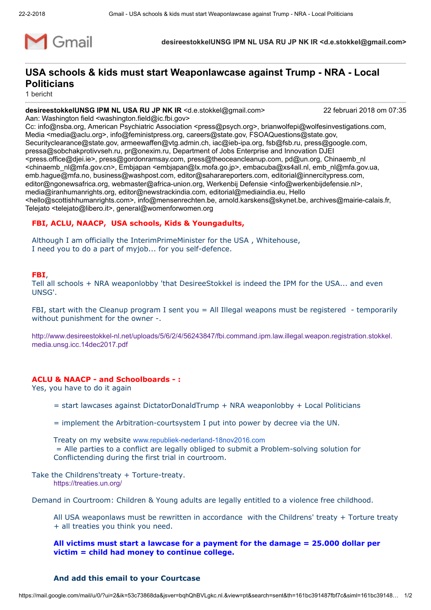

desireestokkelUNSG IPM NL USA RU JP NK IR <d.e.stokkel@gmail.com>

# USA schools & kids must start Weaponlawcase against Trump - NRA - Local **Politicians**

1 bericht

desireestokkelUNSG IPM NL USA RU JP NK IR <d.e.stokkel@gmail.com> 22 februari 2018 om 07:35

Aan: Washington field <washington.field@ic.fbi.gov> Cc: info@nsba.org, American Psychiatric Association <press@psych.org>, brianwolfepi@wolfesinvestigations.com, Media <media@aclu.org>, info@feministpress.org, careers@state.gov, FSOAQuestions@state.gov, Securityclearance@state.gov, armeewaffen@vtg.admin.ch, iac@ieb-ipa.org, fsb@fsb.ru, press@google.com, pressa@sobchakprotivvseh.ru, pr@onexim.ru, Department of Jobs Enterprise and Innovation DJEI <press.office@djei.ie>, press@gordonramsay.com, press@theoceancleanup.com, pd@un.org, Chinaemb\_nl <chinaemb\_nl@mfa.gov.cn>, Embjapan <embjapan@lx.mofa.go.jp>, embacuba@xs4all.nl, emb\_nl@mfa.gov.ua, emb.hague@mfa.no, business@washpost.com, editor@saharareporters.com, editorial@innercitypress.com, editor@ngonewsafrica.org, webmaster@africa-union.org, Werkenbij Defensie <info@werkenbijdefensie.nl>, media@iranhumanrights.org, editor@newstrackindia.com, editorial@mediaindia.eu, Hello <hello@scottishhumanrights.com>, info@mensenrechten.be, arnold.karskens@skynet.be, archives@mairie-calais.fr, Telejato <telejato@libero.it>, general@womenforwomen.org

## FBI, ACLU, NAACP, USA schools, Kids & Youngadults,

Although I am officially the InterimPrimeMinister for the USA , Whitehouse, I need you to do a part of myjob... for you self-defence.

#### FBI,

Tell all schools + NRA weaponlobby 'that DesireeStokkel is indeed the IPM for the USA... and even UNSG'.

FBI, start with the Cleanup program I sent you = All Illegal weapons must be registered - temporarily without punishment for the owner -.

[http://www.desireestokkel-nl.net/uploads/5/6/2/4/56243847/fbi.command.ipm.law.illegal.weapon.registration.stokkel.](http://www.desireestokkel-nl.net/uploads/5/6/2/4/56243847/fbi.command.ipm.law.illegal.weapon.registration.stokkel.media.unsg.icc.14dec2017.pdf) media.unsg.icc.14dec2017.pdf

## ACLU & NAACP - and Schoolboards - :

Yes, you have to do it again

 $=$  start lawcases against DictatorDonaldTrump  $+$  NRA weaponlobby  $+$  Local Politicians

= implement the Arbitration-courtsystem I put into power by decree via the UN.

Treaty on my website [www.republiek-nederland-18nov2016.com](http://www.republiek-nederland-18nov2016.com/) = Alle parties to a conflict are legally obliged to submit a Problem-solving solution for Conflictending during the first trial in courtroom.

Take the Childrens'treaty + Torture-treaty. <https://treaties.un.org/>

Demand in Courtroom: Children & Young adults are legally entitled to a violence free childhood.

All USA weaponlaws must be rewritten in accordance with the Childrens' treaty  $+$  Torture treaty + all treaties you think you need.

All victims must start a lawcase for a payment for the damage = 25.000 dollar per victim = child had money to continue college.

## And add this email to your Courtcase